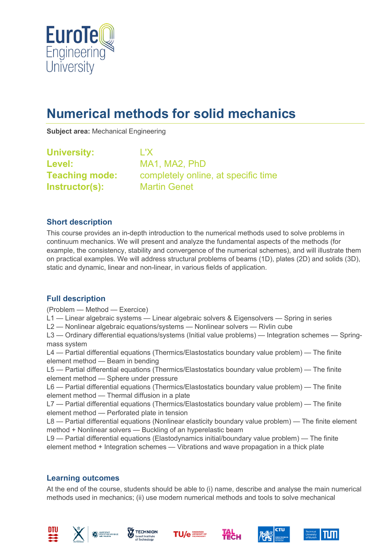

# **Numerical methods for solid mechanics**

**Subject area:** Mechanical Engineering

**University:** L'X Level: MA1, MA2, PhD **Instructor(s):** Martin Genet

**Teaching mode:** completely online, at specific time

#### **Short description**

This course provides an in-depth introduction to the numerical methods used to solve problems in continuum mechanics. We will present and analyze the fundamental aspects of the methods (for example, the consistency, stability and convergence of the numerical schemes), and will illustrate them on practical examples. We will address structural problems of beams (1D), plates (2D) and solids (3D), static and dynamic, linear and non-linear, in various fields of application.

### **Full description**

(Problem — Method — Exercice)

L1 — Linear algebraic systems — Linear algebraic solvers & Eigensolvers — Spring in series

L2 — Nonlinear algebraic equations/systems — Nonlinear solvers — Rivlin cube

L3 — Ordinary differential equations/systems (Initial value problems) — Integration schemes — Springmass system

L4 — Partial differential equations (Thermics/Elastostatics boundary value problem) — The finite element method — Beam in bending

L5 — Partial differential equations (Thermics/Elastostatics boundary value problem) — The finite element method — Sphere under pressure

L6 — Partial differential equations (Thermics/Elastostatics boundary value problem) — The finite element method — Thermal diffusion in a plate

L7 — Partial differential equations (Thermics/Elastostatics boundary value problem) — The finite element method — Perforated plate in tension

L8 — Partial differential equations (Nonlinear elasticity boundary value problem) — The finite element method + Nonlinear solvers — Buckling of an hyperelastic beam

L9 — Partial differential equations (Elastodynamics initial/boundary value problem) — The finite element method + Integration schemes — Vibrations and wave propagation in a thick plate

### **Learning outcomes**

At the end of the course, students should be able to (i) name, describe and analyse the main numerical methods used in mechanics; (ii) use modern numerical methods and tools to solve mechanical













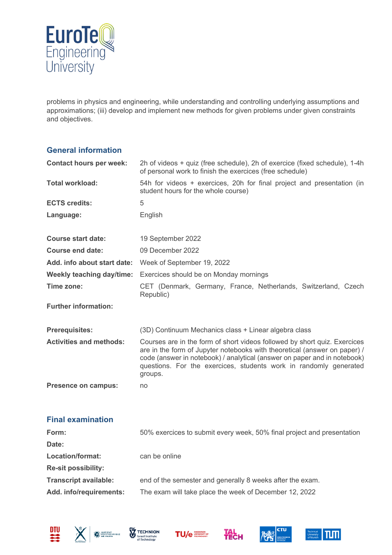

problems in physics and engineering, while understanding and controlling underlying assumptions and approximations; (iii) develop and implement new methods for given problems under given constraints and objectives.

#### **General information**

| <b>Contact hours per week:</b> | 2h of videos + quiz (free schedule), 2h of exercice (fixed schedule), 1-4h<br>of personal work to finish the exercices (free schedule)                                                                                                                                                                             |  |  |
|--------------------------------|--------------------------------------------------------------------------------------------------------------------------------------------------------------------------------------------------------------------------------------------------------------------------------------------------------------------|--|--|
| <b>Total workload:</b>         | 54h for videos + exercices, 20h for final project and presentation (in<br>student hours for the whole course)                                                                                                                                                                                                      |  |  |
| <b>ECTS credits:</b>           | 5                                                                                                                                                                                                                                                                                                                  |  |  |
| Language:                      | English                                                                                                                                                                                                                                                                                                            |  |  |
| <b>Course start date:</b>      | 19 September 2022                                                                                                                                                                                                                                                                                                  |  |  |
| <b>Course end date:</b>        | 09 December 2022                                                                                                                                                                                                                                                                                                   |  |  |
| Add. info about start date:    | Week of September 19, 2022                                                                                                                                                                                                                                                                                         |  |  |
| Weekly teaching day/time:      | Exercices should be on Monday mornings                                                                                                                                                                                                                                                                             |  |  |
| Time zone:                     | CET (Denmark, Germany, France, Netherlands, Switzerland, Czech<br>Republic)                                                                                                                                                                                                                                        |  |  |
| <b>Further information:</b>    |                                                                                                                                                                                                                                                                                                                    |  |  |
| <b>Prerequisites:</b>          | (3D) Continuum Mechanics class + Linear algebra class                                                                                                                                                                                                                                                              |  |  |
| <b>Activities and methods:</b> | Courses are in the form of short videos followed by short quiz. Exercices<br>are in the form of Jupyter notebooks with theoretical (answer on paper) /<br>code (answer in notebook) / analytical (answer on paper and in notebook)<br>questions. For the exercices, students work in randomly generated<br>groups. |  |  |
| <b>Presence on campus:</b>     | no                                                                                                                                                                                                                                                                                                                 |  |  |
| <b>Final examination</b>       |                                                                                                                                                                                                                                                                                                                    |  |  |
| Form:                          | 50% exercices to submit every week, 50% final project and presentation                                                                                                                                                                                                                                             |  |  |
| Date:                          |                                                                                                                                                                                                                                                                                                                    |  |  |
| <b>Location/format:</b>        | can be online                                                                                                                                                                                                                                                                                                      |  |  |
| <b>Re-sit possibility:</b>     |                                                                                                                                                                                                                                                                                                                    |  |  |

- **Transcript available:** end of the semester and generally 8 weeks after the exam.
- **Add. info/requirements:** The exam will take place the week of December 12, 2022